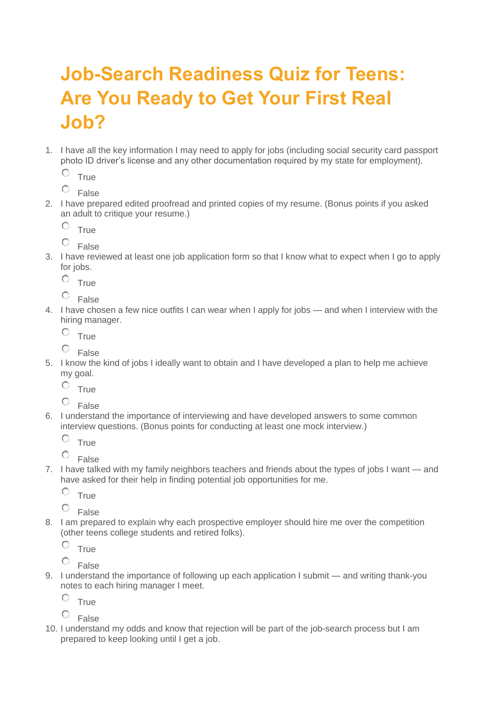## **Job-Search Readiness Quiz for Teens: Are You Ready to Get Your First Real Job?**

1. I have all the key information I may need to apply for jobs (including social security card passport photo ID driver's license and any other documentation required by my state for employment).

 $\circ$  True

 $\circ$  False

2. I have prepared edited proofread and printed copies of my resume. (Bonus points if you asked an adult to critique your resume.)

О True

О. False

3. I have reviewed at least one job application form so that I know what to expect when I go to apply for jobs.

О True

о False

4. I have chosen a few nice outfits I can wear when I apply for jobs — and when I interview with the hiring manager.

 $\circ$  True

О. False

5. I know the kind of jobs I ideally want to obtain and I have developed a plan to help me achieve my goal.

 $\circ$  True

о False

6. I understand the importance of interviewing and have developed answers to some common interview questions. (Bonus points for conducting at least one mock interview.)

 $C$  True

 $\circ$  False

7. I have talked with my family neighbors teachers and friends about the types of jobs I want — and have asked for their help in finding potential job opportunities for me.

0. True

О. False

8. I am prepared to explain why each prospective employer should hire me over the competition (other teens college students and retired folks).

О True

О False

9. I understand the importance of following up each application I submit — and writing thank-you notes to each hiring manager I meet.

 $\circ$ True

O False

10. I understand my odds and know that rejection will be part of the job-search process but I am prepared to keep looking until I get a job.